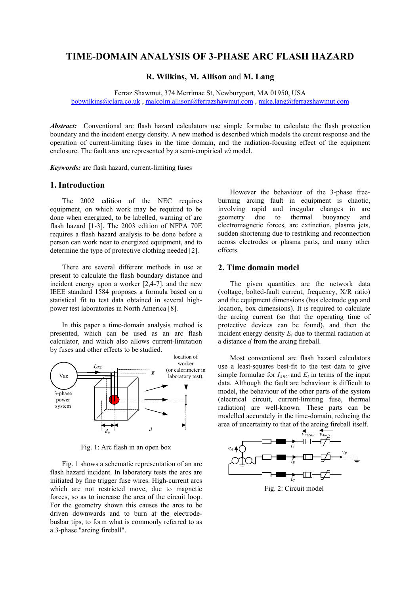# **TIME-DOMAIN ANALYSIS OF 3-PHASE ARC FLASH HAZARD**

## **R. Wilkins, M. Allison** and **M. Lang**

Ferraz Shawmut, 374 Merrimac St, Newburyport, MA 01950, USA bobwilkins@clara.co.uk , malcolm.allison@ferrazshawmut.com , mike.lang@ferrazshawmut.com

*Abstract:* Conventional arc flash hazard calculators use simple formulae to calculate the flash protection boundary and the incident energy density. A new method is described which models the circuit response and the operation of current-limiting fuses in the time domain, and the radiation-focusing effect of the equipment enclosure. The fault arcs are represented by a semi-empirical *v/i* model.

*Keywords:* arc flash hazard, current-limiting fuses

## **1. Introduction**

The 2002 edition of the NEC requires equipment, on which work may be required to be done when energized, to be labelled, warning of arc flash hazard [1-3]. The 2003 edition of NFPA 70E requires a flash hazard analysis to be done before a person can work near to energized equipment, and to determine the type of protective clothing needed [2].

There are several different methods in use at present to calculate the flash boundary distance and incident energy upon a worker [2,4-7], and the new IEEE standard 1584 proposes a formula based on a statistical fit to test data obtained in several highpower test laboratories in North America [8].

In this paper a time-domain analysis method is presented, which can be used as an arc flash calculator, and which also allows current-limitation by fuses and other effects to be studied.



Fig. 1: Arc flash in an open box

Fig. 1 shows a schematic representation of an arc flash hazard incident. In laboratory tests the arcs are initiated by fine trigger fuse wires. High-current arcs which are not restricted move, due to magnetic forces, so as to increase the area of the circuit loop. For the geometry shown this causes the arcs to be driven downwards and to burn at the electrodebusbar tips, to form what is commonly referred to as a 3-phase "arcing fireball".

However the behaviour of the 3-phase freeburning arcing fault in equipment is chaotic, involving rapid and irregular changes in arc geometry due to thermal buoyancy and electromagnetic forces, arc extinction, plasma jets, sudden shortening due to restriking and reconnection across electrodes or plasma parts, and many other effects.

## **2. Time domain model**

The given quantities are the network data (voltage, bolted-fault current, frequency, X/R ratio) and the equipment dimensions (bus electrode gap and location, box dimensions). It is required to calculate the arcing current (so that the operating time of protective devices can be found), and then the incident energy density  $E_i$  due to thermal radiation at a distance *d* from the arcing fireball.

Most conventional arc flash hazard calculators use a least-squares best-fit to the test data to give simple formulae for  $I_{ARC}$  and  $E_i$  in terms of the input data. Although the fault arc behaviour is difficult to model, the behaviour of the other parts of the system (electrical circuit, current-limiting fuse, thermal radiation) are well-known. These parts can be modelled accurately in the time-domain, reducing the area of uncertainty to that of the arcing fireball itself.



Fig. 2: Circuit model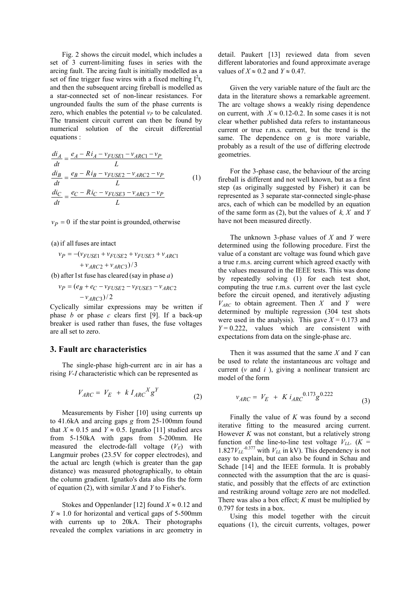Fig. 2 shows the circuit model, which includes a set of 3 current-limiting fuses in series with the arcing fault. The arcing fault is initially modelled as a set of fine trigger fuse wires with a fixed melting  $I^2t$ , and then the subsequent arcing fireball is modelled as a star-connected set of non-linear resistances. For ungrounded faults the sum of the phase currents is zero, which enables the potential  $v_p$  to be calculated. The transient circuit current can then be found by numerical solution of the circuit differential equations :

$$
\frac{di_A}{dt} = \frac{e_A - Ri_A - v_{FUSE1} - v_{ARC1} - v_P}{L}
$$
\n
$$
\frac{di_B}{dt} = \frac{e_B - Ri_B - v_{FUSE2} - v_{ARC2} - v_P}{L}
$$
\n
$$
\frac{di_C}{dt} = \frac{e_C - Ri_C - v_{FUSE3} - v_{ARC3} - v_P}{L}
$$
\n(1)

 $v_P = 0$  if the star point is grounded, otherwise

 $(a)$  if all fuses are intact

 $+v_{ARC2} + v_{ARC3}$ )/3  $v_P = -(v_{FUSE1} + v_{FUSE2} + v_{FUSE3} + v_{ARC1})$ 

(b) after 1st fuse has cleared (say in phase  $a$ )

$$
v_P = (e_B + e_C - v_{FUSE2} - v_{FUSE3} - v_{ARC2} - v_{ARC2})/2
$$

Cyclically similar expressions may be written if phase *b* or phase *c* clears first [9]. If a back-up breaker is used rather than fuses, the fuse voltages are all set to zero.

#### **3. Fault arc characteristics**

The single-phase high-current arc in air has a rising *V-I* characteristic which can be represented as

$$
V_{ARC} = V_E + k I_{ARC}{}^{X} g^{Y}
$$
 (2)

Measurements by Fisher [10] using currents up to 41.6kA and arcing gaps *g* from 25-100mm found that  $X \approx 0.15$  and  $Y \approx 0.5$ . Ignatko [11] studied arcs from 5-150kA with gaps from 5-200mm. He measured the electrode-fall voltage  $(V_F)$  with Langmuir probes (23.5V for copper electrodes), and the actual arc length (which is greater than the gap distance) was measured photographically, to obtain the column gradient. Ignatko's data also fits the form of equation (2), with similar *X* and *Y* to Fisher's.

Stokes and Oppenlander [12] found  $X \approx 0.12$  and  $Y \approx 1.0$  for horizontal and vertical gaps of 5-500mm with currents up to 20kA. Their photographs revealed the complex variations in arc geometry in detail. Paukert [13] reviewed data from seven different laboratories and found approximate average values of  $X \approx 0.2$  and  $Y \approx 0.47$ .

Given the very variable nature of the fault arc the data in the literature shows a remarkable agreement. The arc voltage shows a weakly rising dependence on current, with  $X \approx 0.12 - 0.2$ . In some cases it is not clear whether published data refers to instantaneous current or true r.m.s. current, but the trend is the same. The dependence on *g* is more variable, probably as a result of the use of differing electrode geometries.

For the 3-phase case, the behaviour of the arcing fireball is different and not well known, but as a first step (as originally suggested by Fisher) it can be represented as 3 separate star-connected single-phase arcs, each of which can be modelled by an equation of the same form as (2), but the values of *k, X* and *Y* have not been measured directly.

The unknown 3-phase values of *X* and *Y* were determined using the following procedure. First the value of a constant arc voltage was found which gave a true r.m.s. arcing current which agreed exactly with the values measured in the IEEE tests. This was done by repeatedly solving (1) for each test shot, computing the true r.m.s. current over the last cycle before the circuit opened, and iteratively adjusting  $V_{ARC}$  to obtain agreement. Then *X* and *Y* were determined by multiple regression (304 test shots were used in the analysis). This gave  $X = 0.173$  and  $Y = 0.222$ , values which are consistent with expectations from data on the single-phase arc.

Then it was assumed that the same *X* and *Y* can be used to relate the instantaneous arc voltage and current (*v* and *i* ), giving a nonlinear transient arc model of the form

$$
v_{ARC} = V_E + K i_{ARC} {}^{0.173} g^{0.222} \tag{3}
$$

Finally the value of *K* was found by a second iterative fitting to the measured arcing current. However *K* was not constant, but a relatively strong function of the line-to-line test voltage  $V_{LL}$ . ( $K =$  $1.827V_{LL}$ <sup>-0.377</sup> with  $V_{LL}$  in kV). This dependency is not easy to explain, but can also be found in Schau and Schade [14] and the IEEE formula. It is probably connected with the assumption that the arc is quasistatic, and possibly that the effects of arc extinction and restriking around voltage zero are not modelled. There was also a box effect; *K* must be multiplied by 0.797 for tests in a box.

Using this model together with the circuit equations (1), the circuit currents, voltages, power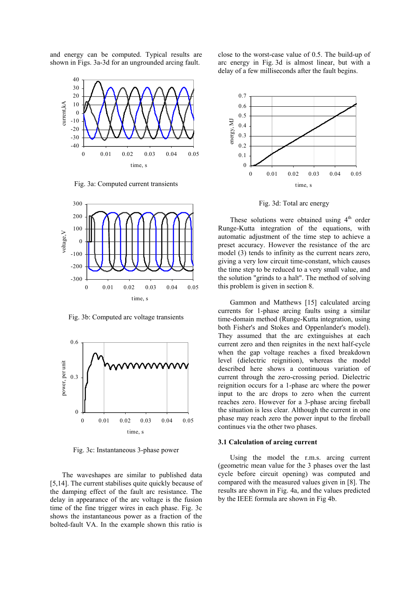and energy can be computed. Typical results are shown in Figs. 3a-3d for an ungrounded arcing fault.



Fig. 3a: Computed current transients



Fig. 3b: Computed arc voltage transients



Fig. 3c: Instantaneous 3-phase power

The waveshapes are similar to published data [5,14]. The current stabilises quite quickly because of the damping effect of the fault arc resistance. The delay in appearance of the arc voltage is the fusion time of the fine trigger wires in each phase. Fig. 3c shows the instantaneous power as a fraction of the bolted-fault VA. In the example shown this ratio is close to the worst-case value of 0.5. The build-up of arc energy in Fig. 3d is almost linear, but with a delay of a few milliseconds after the fault begins.



Fig. 3d: Total arc energy

These solutions were obtained using  $4<sup>th</sup>$  order Runge-Kutta integration of the equations, with automatic adjustment of the time step to achieve a preset accuracy. However the resistance of the arc model (3) tends to infinity as the current nears zero, giving a very low circuit time-constant, which causes the time step to be reduced to a very small value, and the solution "grinds to a halt". The method of solving this problem is given in section 8.

Gammon and Matthews [15] calculated arcing currents for 1-phase arcing faults using a similar time-domain method (Runge-Kutta integration, using both Fisher's and Stokes and Oppenlander's model). They assumed that the arc extinguishes at each current zero and then reignites in the next half-cycle when the gap voltage reaches a fixed breakdown level (dielectric reignition), whereas the model described here shows a continuous variation of current through the zero-crossing period. Dielectric reignition occurs for a 1-phase arc where the power input to the arc drops to zero when the current reaches zero. However for a 3-phase arcing fireball the situation is less clear. Although the current in one phase may reach zero the power input to the fireball continues via the other two phases.

#### **3.1 Calculation of arcing current**

Using the model the r.m.s. arcing current (geometric mean value for the 3 phases over the last cycle before circuit opening) was computed and compared with the measured values given in [8]. The results are shown in Fig. 4a, and the values predicted by the IEEE formula are shown in Fig 4b.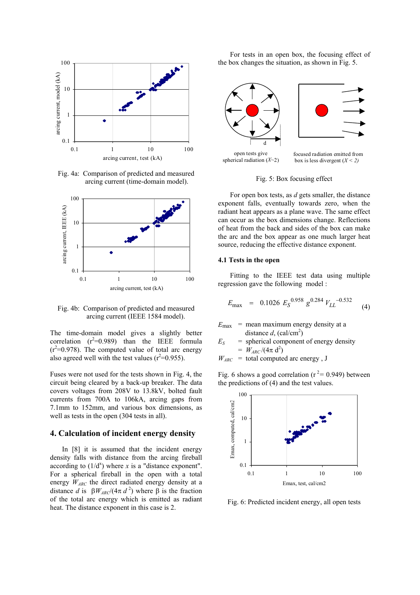

Fig. 4a: Comparison of predicted and measured arcing current (time-domain model).



Fig. 4b: Comparison of predicted and measured arcing current (IEEE 1584 model).

The time-domain model gives a slightly better correlation  $(r^2=0.989)$  than the IEEE formula  $(r^2=0.978)$ . The computed value of total arc energy also agreed well with the test values  $(r^2=0.955)$ .

Fuses were not used for the tests shown in Fig. 4, the circuit being cleared by a back-up breaker. The data covers voltages from 208V to 13.8kV, bolted fault currents from 700A to 106kA, arcing gaps from 7.1mm to 152mm, and various box dimensions, as well as tests in the open (304 tests in all).

## **4. Calculation of incident energy density**

In [8] it is assumed that the incident energy density falls with distance from the arcing fireball according to  $(1/d^x)$  where *x* is a "distance exponent". For a spherical fireball in the open with a total energy  $W_{ARC}$  the direct radiated energy density at a distance *d* is  $\beta W_{\text{ARC}}/(4\pi d^2)$  where  $\beta$  is the fraction of the total arc energy which is emitted as radiant heat. The distance exponent in this case is 2.

For tests in an open box, the focusing effect of the box changes the situation, as shown in Fig. 5.



Fig. 5: Box focusing effect

For open box tests, as *d* gets smaller, the distance exponent falls, eventually towards zero, when the radiant heat appears as a plane wave. The same effect can occur as the box dimensions change. Reflections of heat from the back and sides of the box can make the arc and the box appear as one much larger heat source, reducing the effective distance exponent.

## **4.1 Tests in the open**

Fitting to the IEEE test data using multiple regression gave the following model :

$$
E_{\text{max}} = 0.1026 E_S^{0.958} g^{0.284} V_{LL}^{-0.532}
$$
 (4)

 $E_{\text{max}}$  = mean maximum energy density at a distance  $d$ , (cal/cm<sup>2</sup>)

 $E_S$  = spherical component of energy density  $= W_{ARC}/(4\pi d^2)$ 

$$
W_{ARC}
$$
 = total computed arc energy, J

Fig. 6 shows a good correlation ( $r^2$  = 0.949) between the predictions of (4) and the test values.



Fig. 6: Predicted incident energy, all open tests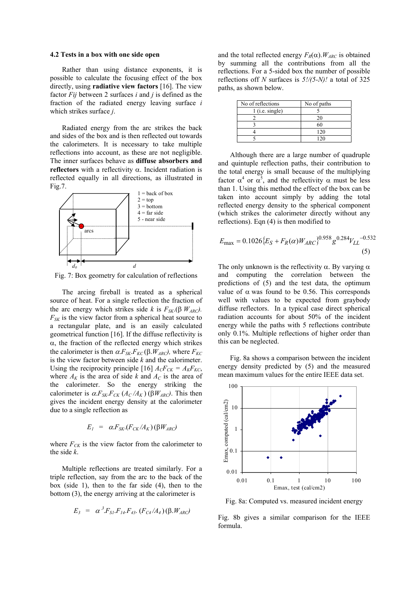#### **4.2 Tests in a box with one side open**

Rather than using distance exponents, it is possible to calculate the focusing effect of the box directly, using **radiative view factors** [16]. The view factor *Fij* between 2 surfaces *i* and *j* is defined as the fraction of the radiated energy leaving surface *i* which strikes surface *j*.

Radiated energy from the arc strikes the back and sides of the box and is then reflected out towards the calorimeters. It is necessary to take multiple reflections into account, as these are not negligible. The inner surfaces behave as **diffuse absorbers and reflectors** with a reflectivity α. Incident radiation is reflected equally in all directions, as illustrated in Fig.7.



Fig. 7: Box geometry for calculation of reflections

The arcing fireball is treated as a spherical source of heat. For a single reflection the fraction of the arc energy which strikes side *k* is  $F_{SK.}(\beta W_{ARC})$ . *FSK* is the view factor from a spherical heat source to a rectangular plate, and is an easily calculated geometrical function [16]. If the diffuse reflectivity is α, the fraction of the reflected energy which strikes the calorimeter is then  $\alpha$ *.F*<sub>*SK</sub>*.*F<sub>KC</sub>*( $\beta$ *,W<sub>ARC</sub>)*, where *F<sub>KC</sub>*</sub> is the view factor between side *k* and the calorimeter. Using the reciprocity principle [16]  $A_C F_{CK} = A_K F_{KC}$ , where  $A_K$  is the area of side *k* and  $A_C$  is the area of the calorimeter. So the energy striking the calorimeter is  $\alpha F_{SK.}F_{CK}$  ( $A_C/A_K$ ) ( $\beta W_{ARC}$ ). This then gives the incident energy density at the calorimeter due to a single reflection as

$$
E_I = \alpha F_{SK} (F_{CK}/A_K) (\beta W_{ARC})
$$

where  $F_{CK}$  is the view factor from the calorimeter to the side *k*.

Multiple reflections are treated similarly. For a triple reflection, say from the arc to the back of the box (side 1), then to the far side (4), then to the bottom (3), the energy arriving at the calorimeter is

$$
E_3 = \alpha^3 F_{SI} F_{14} F_{43} (F_{C4}/A_4) (\beta W_{ARC})
$$

and the total reflected energy  $F_R(\alpha)$ .  $W_{ARC}$  is obtained by summing all the contributions from all the reflections. For a 5-sided box the number of possible reflections off *N* surfaces is *5!/(5-N)!* a total of 325 paths, as shown below.

| No of reflections | No of paths |
|-------------------|-------------|
| $1$ (i.e. single) |             |
|                   | 20          |
|                   |             |
|                   | 120         |
|                   |             |

Although there are a large number of quadruple and quintuple reflection paths, their contribution to the total energy is small because of the multiplying factor  $\alpha^4$  or  $\alpha^5$ , and the reflectivity  $\alpha$  must be less than 1. Using this method the effect of the box can be taken into account simply by adding the total reflected energy density to the spherical component (which strikes the calorimeter directly without any reflections). Eqn (4) is then modified to

$$
E_{\text{max}} = 0.1026 \{ E_S + F_R(\alpha) W_{ARC} \}^{0.958} g^{0.284} V_{LL}^{-0.532}
$$
\n(5)

The only unknown is the reflectivity  $\alpha$ . By varying  $\alpha$ and computing the correlation between the predictions of (5) and the test data, the optimum value of  $\alpha$  was found to be 0.56. This corresponds well with values to be expected from graybody diffuse reflectors. In a typical case direct spherical radiation accounts for about 50% of the incident energy while the paths with 5 reflections contribute only 0.1%. Multiple reflections of higher order than this can be neglected.

Fig. 8a shows a comparison between the incident energy density predicted by (5) and the measured mean maximum values for the entire IEEE data set.



Fig. 8a: Computed vs. measured incident energy

Fig. 8b gives a similar comparison for the IEEE formula.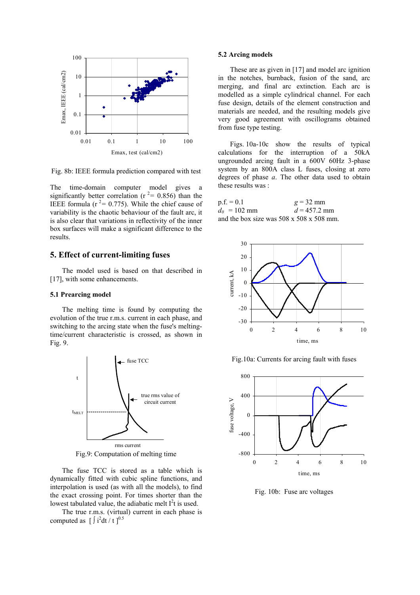

Fig. 8b: IEEE formula prediction compared with test

The time-domain computer model gives a significantly better correlation ( $r^2$  = 0.856) than the IEEE formula ( $r^2$ = 0.775). While the chief cause of variability is the chaotic behaviour of the fault arc, it is also clear that variations in reflectivity of the inner box surfaces will make a significant difference to the results.

## **5. Effect of current-limiting fuses**

The model used is based on that described in [17], with some enhancements.

#### **5.1 Prearcing model**

The melting time is found by computing the evolution of the true r.m.s. current in each phase, and switching to the arcing state when the fuse's meltingtime/current characteristic is crossed, as shown in Fig. 9.



Fig.9: Computation of melting time

The fuse TCC is stored as a table which is dynamically fitted with cubic spline functions, and interpolation is used (as with all the models), to find the exact crossing point. For times shorter than the lowest tabulated value, the adiabatic melt  $I^2t$  is used.

The true r.m.s. (virtual) current in each phase is computed as  $\left[\int i^2 dt / t\right]^{0.5}$ 

#### **5.2 Arcing models**

These are as given in [17] and model arc ignition in the notches, burnback, fusion of the sand, arc merging, and final arc extinction. Each arc is modelled as a simple cylindrical channel. For each fuse design, details of the element construction and materials are needed, and the resulting models give very good agreement with oscillograms obtained from fuse type testing.

Figs. 10a-10c show the results of typical calculations for the interruption of a 50kA ungrounded arcing fault in a 600V 60Hz 3-phase system by an 800A class L fuses, closing at zero degrees of phase *a*. The other data used to obtain these results was :

| $p.f. = 0.1$   | $g = 32$ mm                                          |
|----------------|------------------------------------------------------|
| $d_0 = 102$ mm | $d = 457.2$ mm                                       |
|                | and the box size was $508 \times 508 \times 508$ mm. |



Fig.10a: Currents for arcing fault with fuses



Fig. 10b: Fuse arc voltages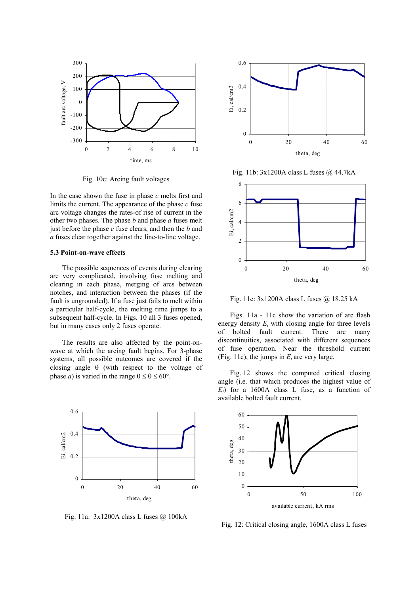

Fig. 10c: Arcing fault voltages

In the case shown the fuse in phase *c* melts first and limits the current. The appearance of the phase *c* fuse arc voltage changes the rates-of rise of current in the other two phases. The phase *b* and phase *a* fuses melt just before the phase *c* fuse clears, and then the *b* and *a* fuses clear together against the line-to-line voltage.

### **5.3 Point-on-wave effects**

The possible sequences of events during clearing are very complicated, involving fuse melting and clearing in each phase, merging of arcs between notches, and interaction between the phases (if the fault is ungrounded). If a fuse just fails to melt within a particular half-cycle, the melting time jumps to a subsequent half-cycle. In Figs. 10 all 3 fuses opened, but in many cases only 2 fuses operate.

The results are also affected by the point-onwave at which the arcing fault begins. For 3-phase systems, all possible outcomes are covered if the closing angle  $\theta$  (with respect to the voltage of phase *a*) is varied in the range  $0 \le \theta \le 60^{\circ}$ .



Fig. 11a: 3x1200A class L fuses @ 100kA



Fig. 11b: 3x1200A class L fuses @ 44.7kA



Fig. 11c: 3x1200A class L fuses @ 18.25 kA

Figs. 11a - 11c show the variation of arc flash energy density  $E_i$  with closing angle for three levels of bolted fault current. There are many discontinuities, associated with different sequences of fuse operation. Near the threshold current (Fig. 11c), the jumps in  $E_i$  are very large.

Fig. 12 shows the computed critical closing angle (i.e. that which produces the highest value of  $E_i$ ) for a 1600A class L fuse, as a function of available bolted fault current.



Fig. 12: Critical closing angle, 1600A class L fuses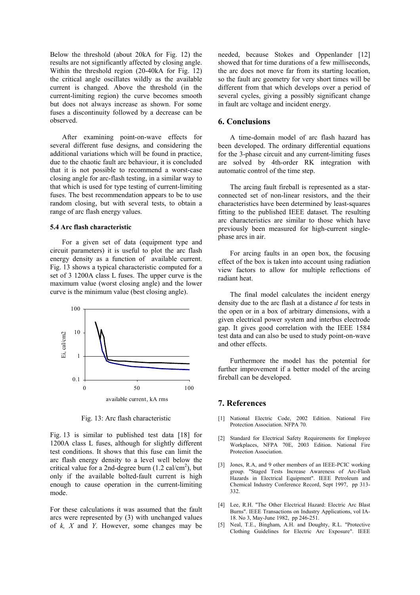Below the threshold (about 20kA for Fig. 12) the results are not significantly affected by closing angle. Within the threshold region (20-40kA for Fig. 12) the critical angle oscillates wildly as the available current is changed. Above the threshold (in the current-limiting region) the curve becomes smooth but does not always increase as shown. For some fuses a discontinuity followed by a decrease can be observed.

After examining point-on-wave effects for several different fuse designs, and considering the additional variations which will be found in practice, due to the chaotic fault arc behaviour, it is concluded that it is not possible to recommend a worst-case closing angle for arc-flash testing, in a similar way to that which is used for type testing of current-limiting fuses. The best recommendation appears to be to use random closing, but with several tests, to obtain a range of arc flash energy values.

### **5.4 Arc flash characteristic**

For a given set of data (equipment type and circuit parameters) it is useful to plot the arc flash energy density as a function of available current. Fig. 13 shows a typical characteristic computed for a set of 3 1200A class L fuses. The upper curve is the maximum value (worst closing angle) and the lower curve is the minimum value (best closing angle).



Fig. 13: Arc flash characteristic

Fig. 13 is similar to published test data [18] for 1200A class L fuses, although for slightly different test conditions. It shows that this fuse can limit the arc flash energy density to a level well below the critical value for a 2nd-degree burn  $(1.2 \text{ cal/cm}^2)$ , but only if the available bolted-fault current is high enough to cause operation in the current-limiting mode.

For these calculations it was assumed that the fault arcs were represented by (3) with unchanged values of *k, X* and *Y*. However, some changes may be

needed, because Stokes and Oppenlander [12] showed that for time durations of a few milliseconds, the arc does not move far from its starting location, so the fault arc geometry for very short times will be different from that which develops over a period of several cycles, giving a possibly significant change in fault arc voltage and incident energy.

# **6. Conclusions**

A time-domain model of arc flash hazard has been developed. The ordinary differential equations for the 3-phase circuit and any current-limiting fuses are solved by 4th-order RK integration with automatic control of the time step.

The arcing fault fireball is represented as a starconnected set of non-linear resistors, and the their characteristics have been determined by least-squares fitting to the published IEEE dataset. The resulting arc characteristics are similar to those which have previously been measured for high-current singlephase arcs in air.

For arcing faults in an open box, the focusing effect of the box is taken into account using radiation view factors to allow for multiple reflections of radiant heat.

The final model calculates the incident energy density due to the arc flash at a distance *d* for tests in the open or in a box of arbitrary dimensions, with a given electrical power system and interbus electrode gap. It gives good correlation with the IEEE 1584 test data and can also be used to study point-on-wave and other effects.

Furthermore the model has the potential for further improvement if a better model of the arcing fireball can be developed.

### **7. References**

- [1] National Electric Code, 2002 Edition. National Fire Protection Association. NFPA 70.
- [2] Standard for Electrical Safety Requirements for Employee Workplaces, NFPA 70E, 2003 Edition. National Fire Protection Association.
- [3] Jones, R.A, and 9 other members of an IEEE-PCIC working group. "Staged Tests Increase Awareness of Arc-Flash Hazards in Electrical Equipment". IEEE Petroleum and Chemical Industry Conference Record, Sept 1997, pp 313- 332.
- [4] Lee, R.H. "The Other Electrical Hazard: Electric Arc Blast Burns". IEEE Transactions on Industry Applications, vol IA-18. No 3, May-June 1982, pp 246-251.
- [5] Neal, T.E., Bingham, A.H. and Doughty, R.L. "Protective Clothing Guidelines for Electric Arc Exposure". IEEE